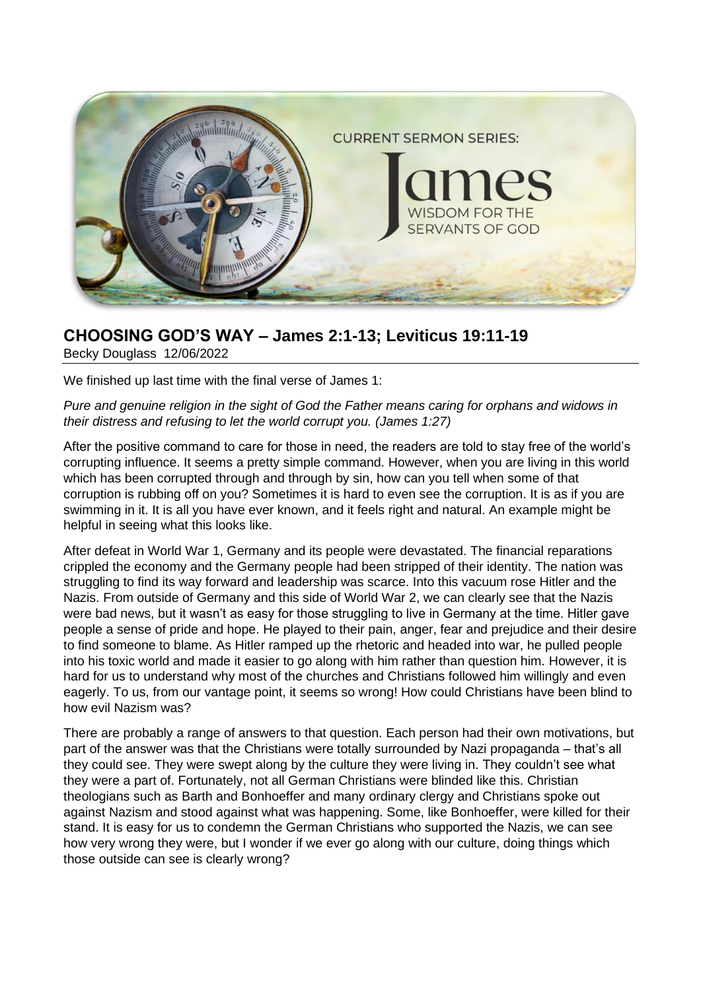

# **CHOOSING GOD'S WAY – James 2:1-13; Leviticus 19:11-19**

Becky Douglass 12/06/2022

We finished up last time with the final verse of James 1:

*Pure and genuine religion in the sight of God the Father means caring for orphans and widows in their distress and refusing to let the world corrupt you. (James 1:27)*

After the positive command to care for those in need, the readers are told to stay free of the world's corrupting influence. It seems a pretty simple command. However, when you are living in this world which has been corrupted through and through by sin, how can you tell when some of that corruption is rubbing off on you? Sometimes it is hard to even see the corruption. It is as if you are swimming in it. It is all you have ever known, and it feels right and natural. An example might be helpful in seeing what this looks like.

After defeat in World War 1, Germany and its people were devastated. The financial reparations crippled the economy and the Germany people had been stripped of their identity. The nation was struggling to find its way forward and leadership was scarce. Into this vacuum rose Hitler and the Nazis. From outside of Germany and this side of World War 2, we can clearly see that the Nazis were bad news, but it wasn't as easy for those struggling to live in Germany at the time. Hitler gave people a sense of pride and hope. He played to their pain, anger, fear and prejudice and their desire to find someone to blame. As Hitler ramped up the rhetoric and headed into war, he pulled people into his toxic world and made it easier to go along with him rather than question him. However, it is hard for us to understand why most of the churches and Christians followed him willingly and even eagerly. To us, from our vantage point, it seems so wrong! How could Christians have been blind to how evil Nazism was?

There are probably a range of answers to that question. Each person had their own motivations, but part of the answer was that the Christians were totally surrounded by Nazi propaganda – that's all they could see. They were swept along by the culture they were living in. They couldn't see what they were a part of. Fortunately, not all German Christians were blinded like this. Christian theologians such as Barth and Bonhoeffer and many ordinary clergy and Christians spoke out against Nazism and stood against what was happening. Some, like Bonhoeffer, were killed for their stand. It is easy for us to condemn the German Christians who supported the Nazis, we can see how very wrong they were, but I wonder if we ever go along with our culture, doing things which those outside can see is clearly wrong?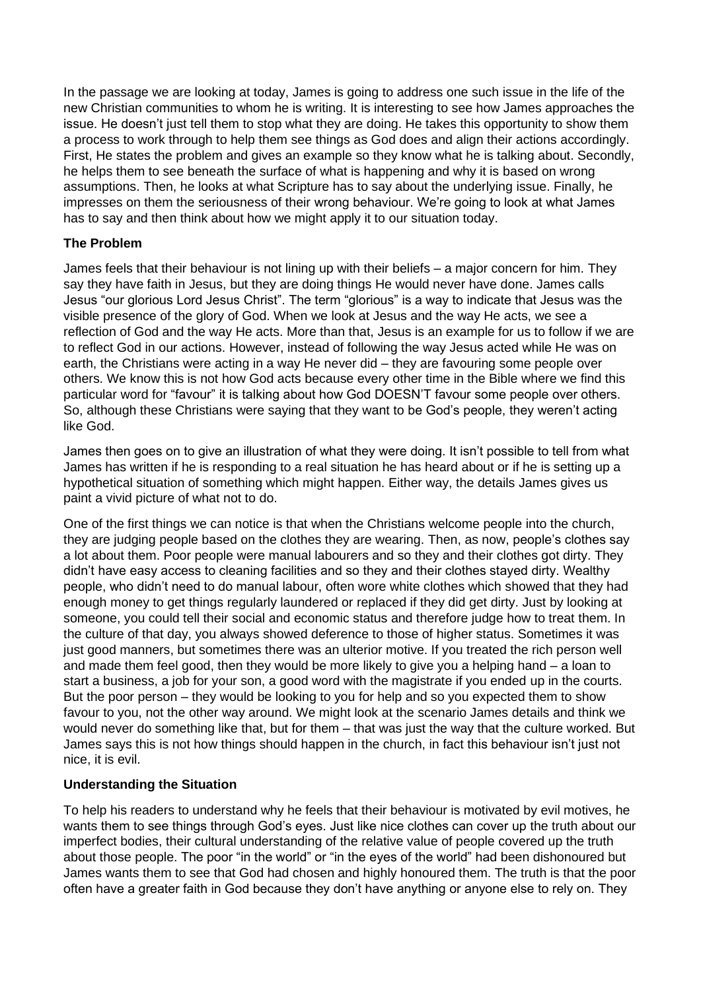In the passage we are looking at today, James is going to address one such issue in the life of the new Christian communities to whom he is writing. It is interesting to see how James approaches the issue. He doesn't just tell them to stop what they are doing. He takes this opportunity to show them a process to work through to help them see things as God does and align their actions accordingly. First, He states the problem and gives an example so they know what he is talking about. Secondly, he helps them to see beneath the surface of what is happening and why it is based on wrong assumptions. Then, he looks at what Scripture has to say about the underlying issue. Finally, he impresses on them the seriousness of their wrong behaviour. We're going to look at what James has to say and then think about how we might apply it to our situation today.

#### **The Problem**

James feels that their behaviour is not lining up with their beliefs – a major concern for him. They say they have faith in Jesus, but they are doing things He would never have done. James calls Jesus "our glorious Lord Jesus Christ". The term "glorious" is a way to indicate that Jesus was the visible presence of the glory of God. When we look at Jesus and the way He acts, we see a reflection of God and the way He acts. More than that, Jesus is an example for us to follow if we are to reflect God in our actions. However, instead of following the way Jesus acted while He was on earth, the Christians were acting in a way He never did – they are favouring some people over others. We know this is not how God acts because every other time in the Bible where we find this particular word for "favour" it is talking about how God DOESN'T favour some people over others. So, although these Christians were saying that they want to be God's people, they weren't acting like God.

James then goes on to give an illustration of what they were doing. It isn't possible to tell from what James has written if he is responding to a real situation he has heard about or if he is setting up a hypothetical situation of something which might happen. Either way, the details James gives us paint a vivid picture of what not to do.

One of the first things we can notice is that when the Christians welcome people into the church, they are judging people based on the clothes they are wearing. Then, as now, people's clothes say a lot about them. Poor people were manual labourers and so they and their clothes got dirty. They didn't have easy access to cleaning facilities and so they and their clothes stayed dirty. Wealthy people, who didn't need to do manual labour, often wore white clothes which showed that they had enough money to get things regularly laundered or replaced if they did get dirty. Just by looking at someone, you could tell their social and economic status and therefore judge how to treat them. In the culture of that day, you always showed deference to those of higher status. Sometimes it was just good manners, but sometimes there was an ulterior motive. If you treated the rich person well and made them feel good, then they would be more likely to give you a helping hand – a loan to start a business, a job for your son, a good word with the magistrate if you ended up in the courts. But the poor person – they would be looking to you for help and so you expected them to show favour to you, not the other way around. We might look at the scenario James details and think we would never do something like that, but for them – that was just the way that the culture worked. But James says this is not how things should happen in the church, in fact this behaviour isn't just not nice, it is evil.

# **Understanding the Situation**

To help his readers to understand why he feels that their behaviour is motivated by evil motives, he wants them to see things through God's eyes. Just like nice clothes can cover up the truth about our imperfect bodies, their cultural understanding of the relative value of people covered up the truth about those people. The poor "in the world" or "in the eyes of the world" had been dishonoured but James wants them to see that God had chosen and highly honoured them. The truth is that the poor often have a greater faith in God because they don't have anything or anyone else to rely on. They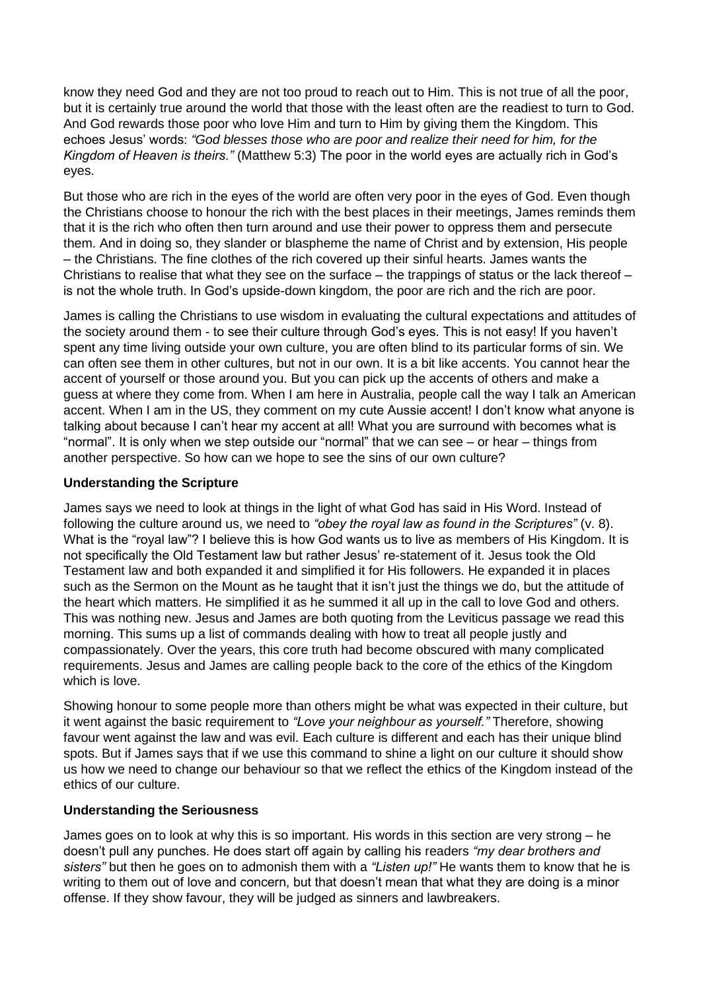know they need God and they are not too proud to reach out to Him. This is not true of all the poor, but it is certainly true around the world that those with the least often are the readiest to turn to God. And God rewards those poor who love Him and turn to Him by giving them the Kingdom. This echoes Jesus' words: *"God blesses those who are poor and realize their need for him, for the Kingdom of Heaven is theirs."* (Matthew 5:3) The poor in the world eyes are actually rich in God's eyes.

But those who are rich in the eyes of the world are often very poor in the eyes of God. Even though the Christians choose to honour the rich with the best places in their meetings, James reminds them that it is the rich who often then turn around and use their power to oppress them and persecute them. And in doing so, they slander or blaspheme the name of Christ and by extension, His people – the Christians. The fine clothes of the rich covered up their sinful hearts. James wants the Christians to realise that what they see on the surface – the trappings of status or the lack thereof – is not the whole truth. In God's upside-down kingdom, the poor are rich and the rich are poor.

James is calling the Christians to use wisdom in evaluating the cultural expectations and attitudes of the society around them - to see their culture through God's eyes. This is not easy! If you haven't spent any time living outside your own culture, you are often blind to its particular forms of sin. We can often see them in other cultures, but not in our own. It is a bit like accents. You cannot hear the accent of yourself or those around you. But you can pick up the accents of others and make a guess at where they come from. When I am here in Australia, people call the way I talk an American accent. When I am in the US, they comment on my cute Aussie accent! I don't know what anyone is talking about because I can't hear my accent at all! What you are surround with becomes what is "normal". It is only when we step outside our "normal" that we can see – or hear – things from another perspective. So how can we hope to see the sins of our own culture?

## **Understanding the Scripture**

James says we need to look at things in the light of what God has said in His Word. Instead of following the culture around us, we need to *"obey the royal law as found in the Scriptures"* (v. 8). What is the "royal law"? I believe this is how God wants us to live as members of His Kingdom. It is not specifically the Old Testament law but rather Jesus' re-statement of it. Jesus took the Old Testament law and both expanded it and simplified it for His followers. He expanded it in places such as the Sermon on the Mount as he taught that it isn't just the things we do, but the attitude of the heart which matters. He simplified it as he summed it all up in the call to love God and others. This was nothing new. Jesus and James are both quoting from the Leviticus passage we read this morning. This sums up a list of commands dealing with how to treat all people justly and compassionately. Over the years, this core truth had become obscured with many complicated requirements. Jesus and James are calling people back to the core of the ethics of the Kingdom which is love.

Showing honour to some people more than others might be what was expected in their culture, but it went against the basic requirement to *"Love your neighbour as yourself."* Therefore, showing favour went against the law and was evil. Each culture is different and each has their unique blind spots. But if James says that if we use this command to shine a light on our culture it should show us how we need to change our behaviour so that we reflect the ethics of the Kingdom instead of the ethics of our culture.

#### **Understanding the Seriousness**

James goes on to look at why this is so important. His words in this section are very strong – he doesn't pull any punches. He does start off again by calling his readers *"my dear brothers and sisters"* but then he goes on to admonish them with a *"Listen up!"* He wants them to know that he is writing to them out of love and concern, but that doesn't mean that what they are doing is a minor offense. If they show favour, they will be judged as sinners and lawbreakers.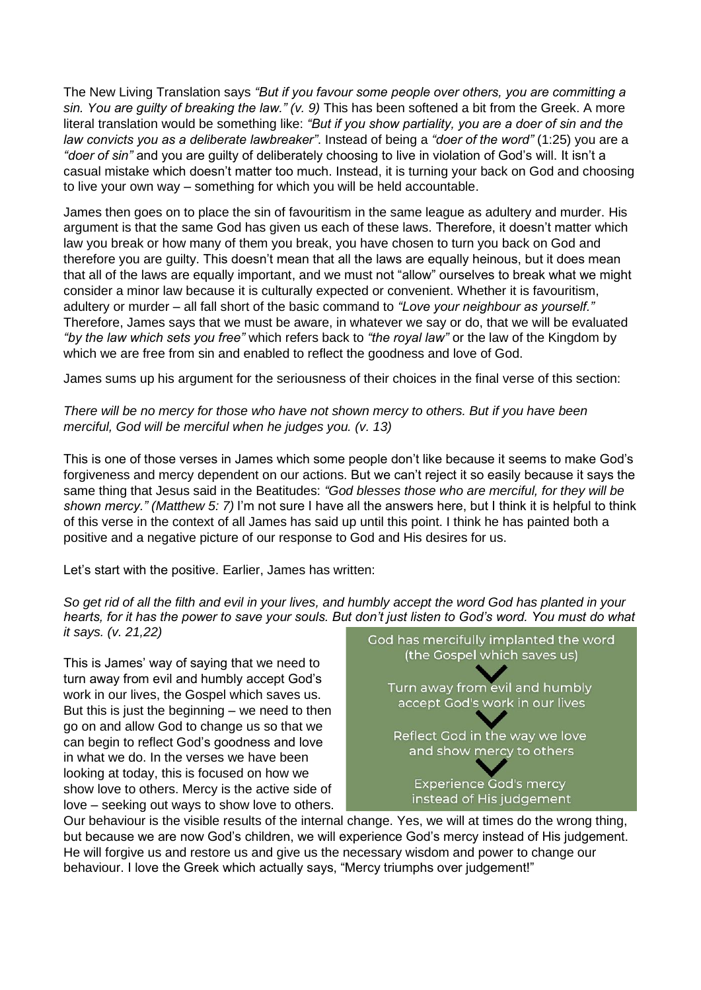The New Living Translation says *"But if you favour some people over others, you are committing a sin. You are guilty of breaking the law." (v. 9)* This has been softened a bit from the Greek. A more literal translation would be something like: *"But if you show partiality, you are a doer of sin and the law convicts you as a deliberate lawbreaker"*. Instead of being a *"doer of the word"* (1:25) you are a *"doer of sin"* and you are guilty of deliberately choosing to live in violation of God's will. It isn't a casual mistake which doesn't matter too much. Instead, it is turning your back on God and choosing to live your own way – something for which you will be held accountable.

James then goes on to place the sin of favouritism in the same league as adultery and murder. His argument is that the same God has given us each of these laws. Therefore, it doesn't matter which law you break or how many of them you break, you have chosen to turn you back on God and therefore you are guilty. This doesn't mean that all the laws are equally heinous, but it does mean that all of the laws are equally important, and we must not "allow" ourselves to break what we might consider a minor law because it is culturally expected or convenient. Whether it is favouritism, adultery or murder – all fall short of the basic command to *"Love your neighbour as yourself."* Therefore, James says that we must be aware, in whatever we say or do, that we will be evaluated *"by the law which sets you free"* which refers back to *"the royal law"* or the law of the Kingdom by which we are free from sin and enabled to reflect the goodness and love of God.

James sums up his argument for the seriousness of their choices in the final verse of this section:

## *There will be no mercy for those who have not shown mercy to others. But if you have been merciful, God will be merciful when he judges you. (v. 13)*

This is one of those verses in James which some people don't like because it seems to make God's forgiveness and mercy dependent on our actions. But we can't reject it so easily because it says the same thing that Jesus said in the Beatitudes: *"God blesses those who are merciful, for they will be shown mercy." (Matthew 5: 7)* I'm not sure I have all the answers here, but I think it is helpful to think of this verse in the context of all James has said up until this point. I think he has painted both a positive and a negative picture of our response to God and His desires for us.

Let's start with the positive. Earlier, James has written:

*So get rid of all the filth and evil in your lives, and humbly accept the word God has planted in your hearts, for it has the power to save your souls. But don't just listen to God's word. You must do what it says. (v. 21,22)*

This is James' way of saying that we need to turn away from evil and humbly accept God's work in our lives, the Gospel which saves us. But this is just the beginning  $-$  we need to then go on and allow God to change us so that we can begin to reflect God's goodness and love in what we do. In the verses we have been looking at today, this is focused on how we show love to others. Mercy is the active side of love – seeking out ways to show love to others.



Our behaviour is the visible results of the internal change. Yes, we will at times do the wrong thing, but because we are now God's children, we will experience God's mercy instead of His judgement. He will forgive us and restore us and give us the necessary wisdom and power to change our behaviour. I love the Greek which actually says, "Mercy triumphs over judgement!"